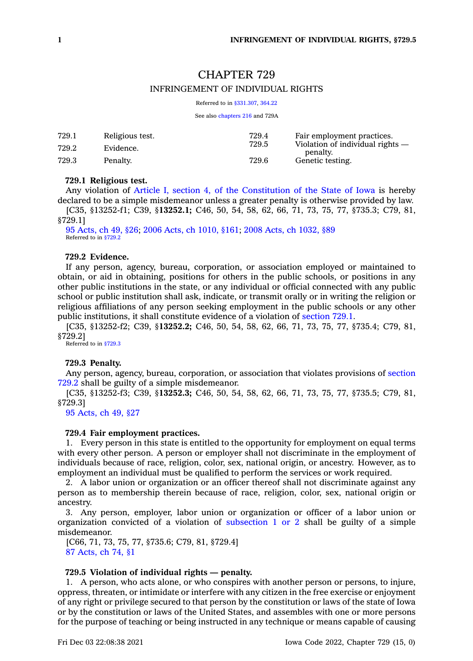# CHAPTER 729 INFRINGEMENT OF INDIVIDUAL RIGHTS

Referred to in [§331.307](https://www.legis.iowa.gov/docs/code/331.307.pdf), [364.22](https://www.legis.iowa.gov/docs/code/364.22.pdf)

See also [chapters](https://www.legis.iowa.gov/docs/code//216.pdf) 216 and 729A

| 729.1 | Religious test. | 729.4 | Fair employment practices.<br>Violation of individual rights —<br>penalty. |
|-------|-----------------|-------|----------------------------------------------------------------------------|
| 729.2 | Evidence.       | 729.5 |                                                                            |
| 729.3 | Penalty.        | 729.6 | Genetic testing.                                                           |

#### **729.1 Religious test.**

Any violation of Article I, section 4, of the [Constitution](https://www.legis.iowa.gov/docs/publications/icnst/402726.pdf#nameddest=iowaConst_art_I_sec_4) of the State of Iowa is hereby declared to be <sup>a</sup> simple misdemeanor unless <sup>a</sup> greater penalty is otherwise provided by law.

[C35, §13252-f1; C39, §**13252.1;** C46, 50, 54, 58, 62, 66, 71, 73, 75, 77, §735.3; C79, 81, §729.1]

95 [Acts,](https://www.legis.iowa.gov/docs/acts/1995/CH0049.pdf) ch 49, §26; 2006 Acts, ch [1010,](https://www.legis.iowa.gov/docs/acts/2006/CH1010.pdf) §161; 2008 Acts, ch [1032,](https://www.legis.iowa.gov/docs/acts/2008/CH1032.pdf) §89 Referred to in [§729.2](https://www.legis.iowa.gov/docs/code/729.2.pdf)

# **729.2 Evidence.**

If any person, agency, bureau, corporation, or association employed or maintained to obtain, or aid in obtaining, positions for others in the public schools, or positions in any other public institutions in the state, or any individual or official connected with any public school or public institution shall ask, indicate, or transmit orally or in writing the religion or religious affiliations of any person seeking employment in the public schools or any other public institutions, it shall constitute evidence of <sup>a</sup> violation of [section](https://www.legis.iowa.gov/docs/code/729.1.pdf) 729.1.

[C35, §13252-f2; C39, §**13252.2;** C46, 50, 54, 58, 62, 66, 71, 73, 75, 77, §735.4; C79, 81, §729.2]

Referred to in [§729.3](https://www.legis.iowa.gov/docs/code/729.3.pdf)

## **729.3 Penalty.**

Any person, agency, bureau, corporation, or association that violates provisions of [section](https://www.legis.iowa.gov/docs/code/729.2.pdf) [729.2](https://www.legis.iowa.gov/docs/code/729.2.pdf) shall be guilty of <sup>a</sup> simple misdemeanor.

[C35, §13252-f3; C39, §**13252.3;** C46, 50, 54, 58, 62, 66, 71, 73, 75, 77, §735.5; C79, 81, §729.3]

95 [Acts,](https://www.legis.iowa.gov/docs/acts/1995/CH0049.pdf) ch 49, §27

#### **729.4 Fair employment practices.**

1. Every person in this state is entitled to the opportunity for employment on equal terms with every other person. A person or employer shall not discriminate in the employment of individuals because of race, religion, color, sex, national origin, or ancestry. However, as to employment an individual must be qualified to perform the services or work required.

2. A labor union or organization or an officer thereof shall not discriminate against any person as to membership therein because of race, religion, color, sex, national origin or ancestry.

3. Any person, employer, labor union or organization or officer of <sup>a</sup> labor union or organization convicted of a violation of [subsection](https://www.legis.iowa.gov/docs/code/729.4.pdf) 1 or 2 shall be guilty of a simple misdemeanor.

[C66, 71, 73, 75, 77, §735.6; C79, 81, §729.4] 87 [Acts,](https://www.legis.iowa.gov/docs/acts/1987/CH0074.pdf) ch 74, §1

### **729.5 Violation of individual rights — penalty.**

1. A person, who acts alone, or who conspires with another person or persons, to injure, oppress, threaten, or intimidate or interfere with any citizen in the free exercise or enjoyment of any right or privilege secured to that person by the constitution or laws of the state of Iowa or by the constitution or laws of the United States, and assembles with one or more persons for the purpose of teaching or being instructed in any technique or means capable of causing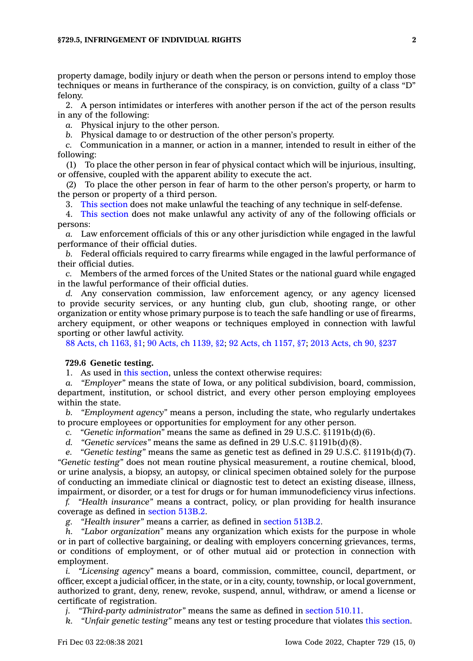property damage, bodily injury or death when the person or persons intend to employ those techniques or means in furtherance of the conspiracy, is on conviction, guilty of <sup>a</sup> class "D" felony.

2. A person intimidates or interferes with another person if the act of the person results in any of the following:

*a.* Physical injury to the other person.

*b.* Physical damage to or destruction of the other person's property.

*c.* Communication in <sup>a</sup> manner, or action in <sup>a</sup> manner, intended to result in either of the following:

(1) To place the other person in fear of physical contact which will be injurious, insulting, or offensive, coupled with the apparent ability to execute the act.

(2) To place the other person in fear of harm to the other person's property, or harm to the person or property of <sup>a</sup> third person.

3. This [section](https://www.legis.iowa.gov/docs/code/729.5.pdf) does not make unlawful the teaching of any technique in self-defense.

4. This [section](https://www.legis.iowa.gov/docs/code/729.5.pdf) does not make unlawful any activity of any of the following officials or persons:

*a.* Law enforcement officials of this or any other jurisdiction while engaged in the lawful performance of their official duties.

*b.* Federal officials required to carry firearms while engaged in the lawful performance of their official duties.

*c.* Members of the armed forces of the United States or the national guard while engaged in the lawful performance of their official duties.

*d.* Any conservation commission, law enforcement agency, or any agency licensed to provide security services, or any hunting club, gun club, shooting range, or other organization or entity whose primary purpose is to teach the safe handling or use of firearms, archery equipment, or other weapons or techniques employed in connection with lawful sporting or other lawful activity.

88 Acts, ch [1163,](https://www.legis.iowa.gov/docs/acts/1988/CH1163.pdf) §1; 90 Acts, ch [1139,](https://www.legis.iowa.gov/docs/acts/90/CH1139.pdf) §2; 92 Acts, ch [1157,](https://www.legis.iowa.gov/docs/acts/92/CH1157.pdf) §7; 2013 [Acts,](https://www.legis.iowa.gov/docs/acts/2013/CH0090.pdf) ch 90, §237

#### **729.6 Genetic testing.**

1. As used in this [section](https://www.legis.iowa.gov/docs/code/729.6.pdf), unless the context otherwise requires:

*a. "Employer"* means the state of Iowa, or any political subdivision, board, commission, department, institution, or school district, and every other person employing employees within the state.

*b. "Employment agency"* means <sup>a</sup> person, including the state, who regularly undertakes to procure employees or opportunities for employment for any other person.

*c. "Genetic information"* means the same as defined in 29 U.S.C. §1191b(d)(6).

*d. "Genetic services"* means the same as defined in 29 U.S.C. §1191b(d)(8).

*e. "Genetic testing"* means the same as genetic test as defined in 29 U.S.C. §1191b(d)(7). *"Genetic testing"* does not mean routine physical measurement, <sup>a</sup> routine chemical, blood, or urine analysis, <sup>a</sup> biopsy, an autopsy, or clinical specimen obtained solely for the purpose of conducting an immediate clinical or diagnostic test to detect an existing disease, illness, impairment, or disorder, or <sup>a</sup> test for drugs or for human immunodeficiency virus infections.

*f. "Health insurance"* means <sup>a</sup> contract, policy, or plan providing for health insurance coverage as defined in [section](https://www.legis.iowa.gov/docs/code/513B.2.pdf) 513B.2.

*g. "Health insurer"* means <sup>a</sup> carrier, as defined in [section](https://www.legis.iowa.gov/docs/code/513B.2.pdf) 513B.2.

*h. "Labor organization"* means any organization which exists for the purpose in whole or in part of collective bargaining, or dealing with employers concerning grievances, terms, or conditions of employment, or of other mutual aid or protection in connection with employment.

*i. "Licensing agency"* means <sup>a</sup> board, commission, committee, council, department, or officer, except <sup>a</sup> judicial officer, in the state, or in <sup>a</sup> city, county, township, or local government, authorized to grant, deny, renew, revoke, suspend, annul, withdraw, or amend <sup>a</sup> license or certificate of registration.

*j. "Third-party administrator"* means the same as defined in [section](https://www.legis.iowa.gov/docs/code/510.11.pdf) 510.11.

*k. "Unfair genetic testing"* means any test or testing procedure that violates this [section](https://www.legis.iowa.gov/docs/code/729.6.pdf).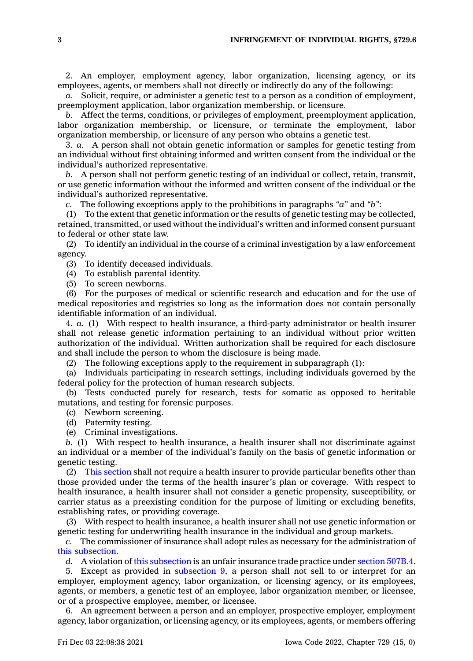2. An employer, employment agency, labor organization, licensing agency, or its employees, agents, or members shall not directly or indirectly do any of the following:

*a.* Solicit, require, or administer <sup>a</sup> genetic test to <sup>a</sup> person as <sup>a</sup> condition of employment, preemployment application, labor organization membership, or licensure.

*b.* Affect the terms, conditions, or privileges of employment, preemployment application, labor organization membership, or licensure, or terminate the employment, labor organization membership, or licensure of any person who obtains <sup>a</sup> genetic test.

3. *a.* A person shall not obtain genetic information or samples for genetic testing from an individual without first obtaining informed and written consent from the individual or the individual's authorized representative.

*b.* A person shall not perform genetic testing of an individual or collect, retain, transmit, or use genetic information without the informed and written consent of the individual or the individual's authorized representative.

*c.* The following exceptions apply to the prohibitions in paragraphs *"a"* and *"b"*:

(1) To the extent that genetic information or the results of genetic testing may be collected, retained, transmitted, or used without the individual's written and informed consent pursuant to federal or other state law.

(2) To identify an individual in the course of <sup>a</sup> criminal investigation by <sup>a</sup> law enforcement agency.

(3) To identify deceased individuals.

(4) To establish parental identity.

(5) To screen newborns.

(6) For the purposes of medical or scientific research and education and for the use of medical repositories and registries so long as the information does not contain personally identifiable information of an individual.

4. *a.* (1) With respect to health insurance, <sup>a</sup> third-party administrator or health insurer shall not release genetic information pertaining to an individual without prior written authorization of the individual. Written authorization shall be required for each disclosure and shall include the person to whom the disclosure is being made.

(2) The following exceptions apply to the requirement in subparagraph (1):

(a) Individuals participating in research settings, including individuals governed by the federal policy for the protection of human research subjects.

(b) Tests conducted purely for research, tests for somatic as opposed to heritable mutations, and testing for forensic purposes.

(c) Newborn screening.

(d) Paternity testing.

(e) Criminal investigations.

*b.* (1) With respect to health insurance, <sup>a</sup> health insurer shall not discriminate against an individual or <sup>a</sup> member of the individual's family on the basis of genetic information or genetic testing.

(2) This [section](https://www.legis.iowa.gov/docs/code/729.6.pdf) shall not require <sup>a</sup> health insurer to provide particular benefits other than those provided under the terms of the health insurer's plan or coverage. With respect to health insurance, <sup>a</sup> health insurer shall not consider <sup>a</sup> genetic propensity, susceptibility, or carrier status as <sup>a</sup> preexisting condition for the purpose of limiting or excluding benefits, establishing rates, or providing coverage.

(3) With respect to health insurance, <sup>a</sup> health insurer shall not use genetic information or genetic testing for underwriting health insurance in the individual and group markets.

*c.* The commissioner of insurance shall adopt rules as necessary for the administration of this [subsection](https://www.legis.iowa.gov/docs/code/729.6.pdf).

*d.* A violation of this [subsection](https://www.legis.iowa.gov/docs/code/729.6.pdf) is an unfair insurance trade practice under [section](https://www.legis.iowa.gov/docs/code/507B.4.pdf) 507B.4.

5. Except as provided in [subsection](https://www.legis.iowa.gov/docs/code/729.6.pdf) 9, <sup>a</sup> person shall not sell to or interpret for an employer, employment agency, labor organization, or licensing agency, or its employees, agents, or members, <sup>a</sup> genetic test of an employee, labor organization member, or licensee, or of <sup>a</sup> prospective employee, member, or licensee.

6. An agreement between <sup>a</sup> person and an employer, prospective employer, employment agency, labor organization, or licensing agency, or its employees, agents, or members offering